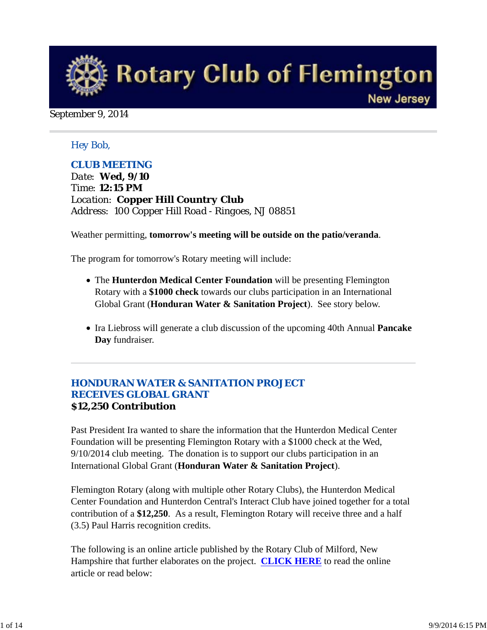

#### September 9, 2014

#### *Hey Bob,*

#### *CLUB MEETING*

*Date: Wed, 9/10 Time: 12:15 PM Location: Copper Hill Country Club Address: 100 Copper Hill Road - Ringoes, NJ 08851*

Weather permitting, **tomorrow's meeting will be outside on the patio/veranda**.

The program for tomorrow's Rotary meeting will include:

- The **Hunterdon Medical Center Foundation** will be presenting Flemington Rotary with a **\$1000 check** towards our clubs participation in an International Global Grant (**Honduran Water & Sanitation Project**). See story below.
- Ira Liebross will generate a club discussion of the upcoming 40th Annual **Pancake Day** fundraiser.

#### *HONDURAN WATER & SANITATION PROJECT RECEIVES GLOBAL GRANT* **\$12,250 Contribution**

Past President Ira wanted to share the information that the Hunterdon Medical Center Foundation will be presenting Flemington Rotary with a \$1000 check at the Wed, 9/10/2014 club meeting. The donation is to support our clubs participation in an International Global Grant (**Honduran Water & Sanitation Project**).

Flemington Rotary (along with multiple other Rotary Clubs), the Hunterdon Medical Center Foundation and Hunterdon Central's Interact Club have joined together for a total contribution of a **\$12,250**. As a result, Flemington Rotary will receive three and a half (3.5) Paul Harris recognition credits.

The following is an online article published by the Rotary Club of Milford, New Hampshire that further elaborates on the project. **CLICK HERE** to read the online article or read below: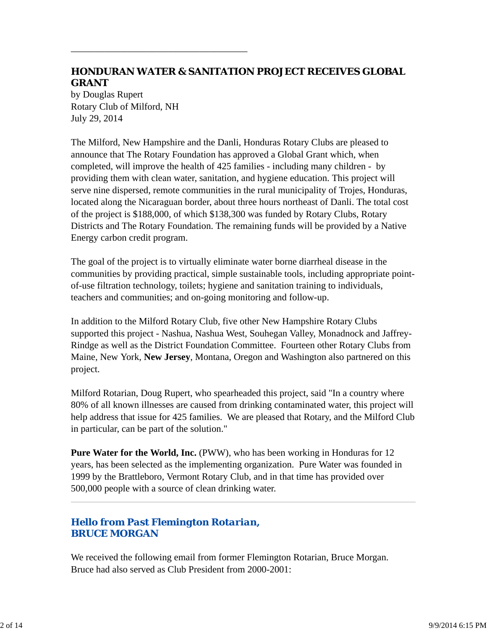# **HONDURAN WATER & SANITATION PROJECT RECEIVES GLOBAL GRANT**

by Douglas Rupert Rotary Club of Milford, NH July 29, 2014

\_\_\_\_\_\_\_\_\_\_\_\_\_\_\_\_\_\_\_\_\_\_\_\_\_\_\_\_\_\_\_\_\_\_\_\_\_

The Milford, New Hampshire and the Danli, Honduras Rotary Clubs are pleased to announce that The Rotary Foundation has approved a Global Grant which, when completed, will improve the health of 425 families - including many children - by providing them with clean water, sanitation, and hygiene education. This project will serve nine dispersed, remote communities in the rural municipality of Trojes, Honduras, located along the Nicaraguan border, about three hours northeast of Danli. The total cost of the project is \$188,000, of which \$138,300 was funded by Rotary Clubs, Rotary Districts and The Rotary Foundation. The remaining funds will be provided by a Native Energy carbon credit program.

The goal of the project is to virtually eliminate water borne diarrheal disease in the communities by providing practical, simple sustainable tools, including appropriate pointof-use filtration technology, toilets; hygiene and sanitation training to individuals, teachers and communities; and on-going monitoring and follow-up.

In addition to the Milford Rotary Club, five other New Hampshire Rotary Clubs supported this project - Nashua, Nashua West, Souhegan Valley, Monadnock and Jaffrey-Rindge as well as the District Foundation Committee. Fourteen other Rotary Clubs from Maine, New York, **New Jersey**, Montana, Oregon and Washington also partnered on this project.

Milford Rotarian, Doug Rupert, who spearheaded this project, said "In a country where 80% of all known illnesses are caused from drinking contaminated water, this project will help address that issue for 425 families. We are pleased that Rotary, and the Milford Club in particular, can be part of the solution."

**Pure Water for the World, Inc.** (PWW), who has been working in Honduras for 12 years, has been selected as the implementing organization. Pure Water was founded in 1999 by the Brattleboro, Vermont Rotary Club, and in that time has provided over 500,000 people with a source of clean drinking water.

# *Hello from Past Flemington Rotarian, BRUCE MORGAN*

We received the following email from former Flemington Rotarian, Bruce Morgan. Bruce had also served as Club President from 2000-2001: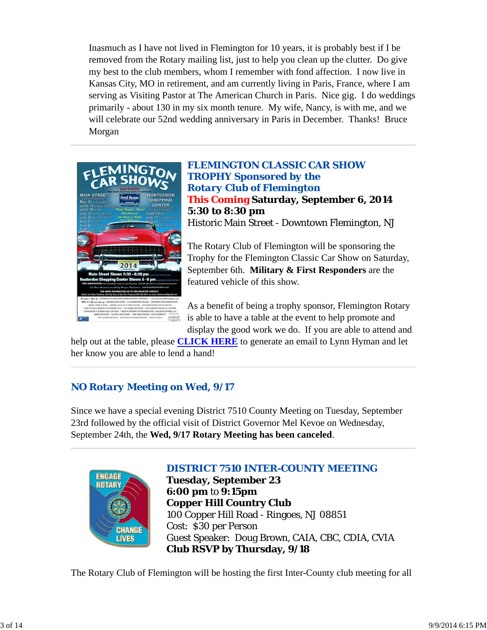Inasmuch as I have not lived in Flemington for 10 years, it is probably best if I be removed from the Rotary mailing list, just to help you clean up the clutter. Do give my best to the club members, whom I remember with fond affection. I now live in Kansas City, MO in retirement, and am currently living in Paris, France, where I am serving as Visiting Pastor at The American Church in Paris. Nice gig. I do weddings primarily - about 130 in my six month tenure. My wife, Nancy, is with me, and we will celebrate our 52nd wedding anniversary in Paris in December. Thanks! Bruce Morgan



*FLEMINGTON CLASSIC CAR SHOW TROPHY Sponsored by the Rotary Club of Flemington* **This Coming Saturday, September 6, 2014 5:30 to 8:30 pm** Historic Main Street - Downtown Flemington, NJ

The Rotary Club of Flemington will be sponsoring the Trophy for the Flemington Classic Car Show on Saturday, September 6th. **Military & First Responders** are the featured vehicle of this show.

As a benefit of being a trophy sponsor, Flemington Rotary is able to have a table at the event to help promote and display the good work we do. If you are able to attend and

help out at the table, please **CLICK HERE** to generate an email to Lynn Hyman and let her know you are able to lend a hand!

# *NO Rotary Meeting on Wed, 9/17*

Since we have a special evening District 7510 County Meeting on Tuesday, September 23rd followed by the official visit of District Governor Mel Kevoe on Wednesday, September 24th, the **Wed, 9/17 Rotary Meeting has been canceled**.



## *DISTRICT 7510 INTER-COUNTY MEETING*

**Tuesday, September 23 6:00 pm** to **9:15pm Copper Hill Country Club** 100 Copper Hill Road - Ringoes, NJ 08851 Cost: \$30 per Person Guest Speaker: Doug Brown, CAIA, CBC, CDIA, CVIA **Club RSVP by Thursday, 9/18**

The Rotary Club of Flemington will be hosting the first Inter-County club meeting for all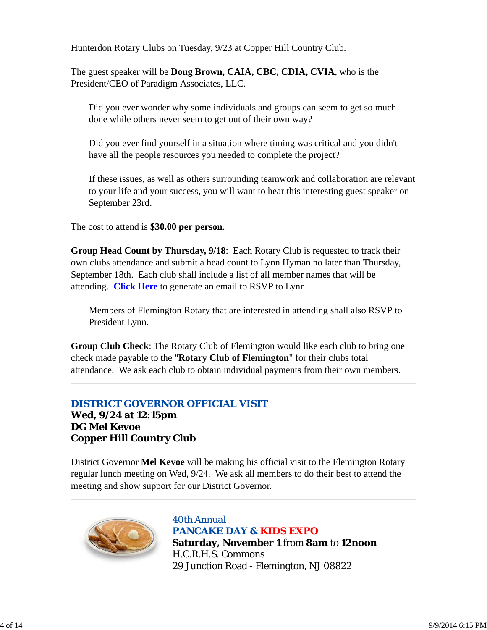Hunterdon Rotary Clubs on Tuesday, 9/23 at Copper Hill Country Club.

The guest speaker will be **Doug Brown, CAIA, CBC, CDIA, CVIA**, who is the President/CEO of Paradigm Associates, LLC.

Did you ever wonder why some individuals and groups can seem to get so much done while others never seem to get out of their own way?

Did you ever find yourself in a situation where timing was critical and you didn't have all the people resources you needed to complete the project?

If these issues, as well as others surrounding teamwork and collaboration are relevant to your life and your success, you will want to hear this interesting guest speaker on September 23rd.

The cost to attend is **\$30.00 per person**.

**Group Head Count by Thursday, 9/18**: Each Rotary Club is requested to track their own clubs attendance and submit a head count to Lynn Hyman no later than Thursday, September 18th. Each club shall include a list of all member names that will be attending. **Click Here** to generate an email to RSVP to Lynn.

Members of Flemington Rotary that are interested in attending shall also RSVP to President Lynn.

**Group Club Check**: The Rotary Club of Flemington would like each club to bring one check made payable to the "**Rotary Club of Flemington**" for their clubs total attendance. We ask each club to obtain individual payments from their own members.

## *DISTRICT GOVERNOR OFFICIAL VISIT*

**Wed, 9/24 at 12:15pm DG Mel Kevoe Copper Hill Country Club**

District Governor **Mel Kevoe** will be making his official visit to the Flemington Rotary regular lunch meeting on Wed, 9/24. We ask all members to do their best to attend the meeting and show support for our District Governor.



*40th Annual PANCAKE DAY & KIDS EXPO* **Saturday, November 1** from **8am** to **12noon** H.C.R.H.S. Commons 29 Junction Road - Flemington, NJ 08822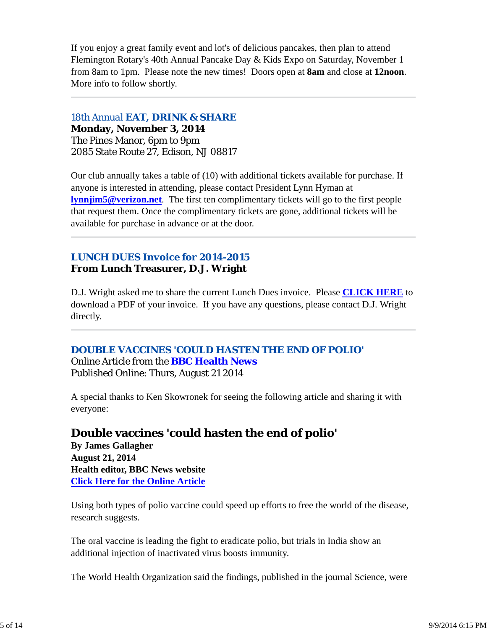If you enjoy a great family event and lot's of delicious pancakes, then plan to attend Flemington Rotary's 40th Annual Pancake Day & Kids Expo on Saturday, November 1 from 8am to 1pm. Please note the new times! Doors open at **8am** and close at **12noon**. More info to follow shortly.

*18th Annual EAT, DRINK & SHARE*

**Monday, November 3, 2014** The Pines Manor, 6pm to 9pm 2085 State Route 27, Edison, NJ 08817

Our club annually takes a table of (10) with additional tickets available for purchase. If anyone is interested in attending, please contact President Lynn Hyman at **lynnjim5@verizon.net**. The first ten complimentary tickets will go to the first people that request them. Once the complimentary tickets are gone, additional tickets will be available for purchase in advance or at the door.

# *LUNCH DUES Invoice for 2014-2015* **From Lunch Treasurer, D.J. Wright**

D.J. Wright asked me to share the current Lunch Dues invoice. Please **CLICK HERE** to download a PDF of your invoice. If you have any questions, please contact D.J. Wright directly.

## *DOUBLE VACCINES 'COULD HASTEN THE END OF POLIO'* Online Article from the **BBC Health News** Published Online: Thurs, August 21 2014

A special thanks to Ken Skowronek for seeing the following article and sharing it with everyone:

# **Double vaccines 'could hasten the end of polio'**

**By James Gallagher August 21, 2014 Health editor, BBC News website Click Here for the Online Article**

Using both types of polio vaccine could speed up efforts to free the world of the disease, research suggests.

The oral vaccine is leading the fight to eradicate polio, but trials in India show an additional injection of inactivated virus boosts immunity.

The World Health Organization said the findings, published in the journal Science, were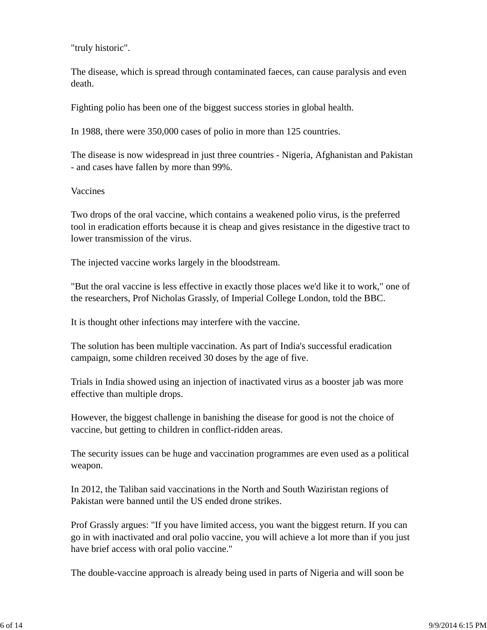"truly historic".

The disease, which is spread through contaminated faeces, can cause paralysis and even death.

Fighting polio has been one of the biggest success stories in global health.

In 1988, there were 350,000 cases of polio in more than 125 countries.

The disease is now widespread in just three countries - Nigeria, Afghanistan and Pakistan - and cases have fallen by more than 99%.

Vaccines

Two drops of the oral vaccine, which contains a weakened polio virus, is the preferred tool in eradication efforts because it is cheap and gives resistance in the digestive tract to lower transmission of the virus.

The injected vaccine works largely in the bloodstream.

"But the oral vaccine is less effective in exactly those places we'd like it to work," one of the researchers, Prof Nicholas Grassly, of Imperial College London, told the BBC.

It is thought other infections may interfere with the vaccine.

The solution has been multiple vaccination. As part of India's successful eradication campaign, some children received 30 doses by the age of five.

Trials in India showed using an injection of inactivated virus as a booster jab was more effective than multiple drops.

However, the biggest challenge in banishing the disease for good is not the choice of vaccine, but getting to children in conflict-ridden areas.

The security issues can be huge and vaccination programmes are even used as a political weapon.

In 2012, the Taliban said vaccinations in the North and South Waziristan regions of Pakistan were banned until the US ended drone strikes.

Prof Grassly argues: "If you have limited access, you want the biggest return. If you can go in with inactivated and oral polio vaccine, you will achieve a lot more than if you just have brief access with oral polio vaccine."

The double-vaccine approach is already being used in parts of Nigeria and will soon be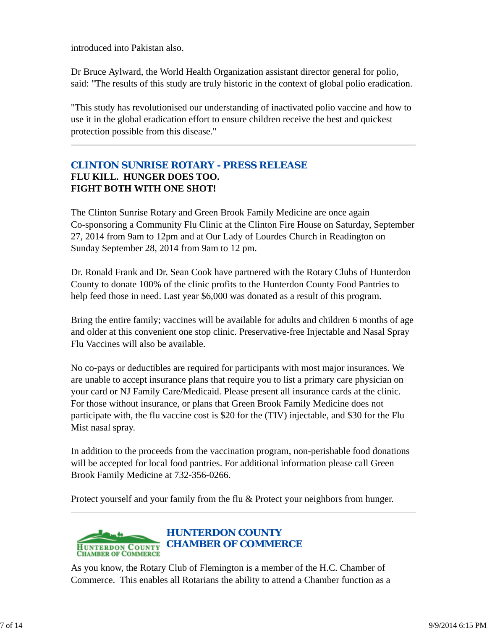introduced into Pakistan also.

Dr Bruce Aylward, the World Health Organization assistant director general for polio, said: "The results of this study are truly historic in the context of global polio eradication.

"This study has revolutionised our understanding of inactivated polio vaccine and how to use it in the global eradication effort to ensure children receive the best and quickest protection possible from this disease."

# *CLINTON SUNRISE ROTARY - PRESS RELEASE* **FLU KILL. HUNGER DOES TOO. FIGHT BOTH WITH ONE SHOT!**

The Clinton Sunrise Rotary and Green Brook Family Medicine are once again Co-sponsoring a Community Flu Clinic at the Clinton Fire House on Saturday, September 27, 2014 from 9am to 12pm and at Our Lady of Lourdes Church in Readington on Sunday September 28, 2014 from 9am to 12 pm.

Dr. Ronald Frank and Dr. Sean Cook have partnered with the Rotary Clubs of Hunterdon County to donate 100% of the clinic profits to the Hunterdon County Food Pantries to help feed those in need. Last year \$6,000 was donated as a result of this program.

Bring the entire family; vaccines will be available for adults and children 6 months of age and older at this convenient one stop clinic. Preservative-free Injectable and Nasal Spray Flu Vaccines will also be available.

No co-pays or deductibles are required for participants with most major insurances. We are unable to accept insurance plans that require you to list a primary care physician on your card or NJ Family Care/Medicaid. Please present all insurance cards at the clinic. For those without insurance, or plans that Green Brook Family Medicine does not participate with, the flu vaccine cost is \$20 for the (TIV) injectable, and \$30 for the Flu Mist nasal spray.

In addition to the proceeds from the vaccination program, non-perishable food donations will be accepted for local food pantries. For additional information please call Green Brook Family Medicine at 732-356-0266.

Protect yourself and your family from the flu & Protect your neighbors from hunger.



As you know, the Rotary Club of Flemington is a member of the H.C. Chamber of Commerce. This enables all Rotarians the ability to attend a Chamber function as a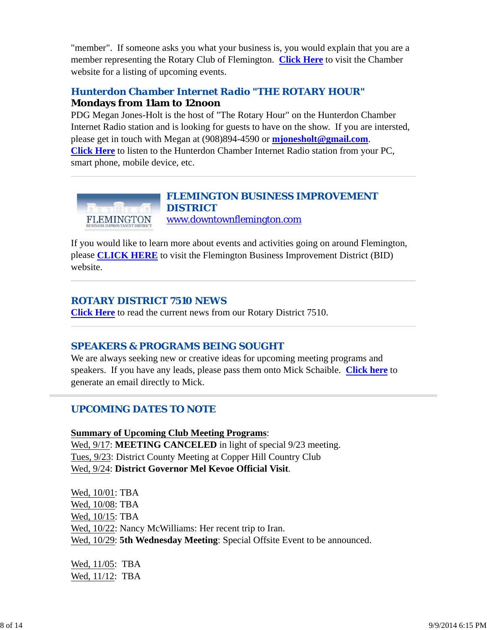"member". If someone asks you what your business is, you would explain that you are a member representing the Rotary Club of Flemington. **Click Here** to visit the Chamber website for a listing of upcoming events.

# *Hunterdon Chamber Internet Radio "THE ROTARY HOUR"* **Mondays from 11am to 12noon**

PDG Megan Jones-Holt is the host of "The Rotary Hour" on the Hunterdon Chamber Internet Radio station and is looking for guests to have on the show. If you are intersted, please get in touch with Megan at (908)894-4590 or **mjonesholt@gmail.com**. **Click Here** to listen to the Hunterdon Chamber Internet Radio station from your PC, smart phone, mobile device, etc.



If you would like to learn more about events and activities going on around Flemington, please **CLICK HERE** to visit the Flemington Business Improvement District (BID) website.

#### *ROTARY DISTRICT 7510 NEWS*

**Click Here** to read the current news from our Rotary District 7510.

## *SPEAKERS & PROGRAMS BEING SOUGHT*

We are always seeking new or creative ideas for upcoming meeting programs and speakers. If you have any leads, please pass them onto Mick Schaible. **Click here** to generate an email directly to Mick.

## *UPCOMING DATES TO NOTE*

**Summary of Upcoming Club Meeting Programs**:

Wed,  $9/17$ : **MEETING CANCELED** in light of special  $9/23$  meeting. Tues, 9/23: District County Meeting at Copper Hill Country Club Wed, 9/24: **District Governor Mel Kevoe Official Visit**.

Wed, 10/01: TBA Wed, 10/08: TBA Wed, 10/15: TBA Wed, 10/22: Nancy McWilliams: Her recent trip to Iran. Wed, 10/29: **5th Wednesday Meeting**: Special Offsite Event to be announced.

| Wed, 11/05: TBA |  |
|-----------------|--|
| Wed, 11/12: TBA |  |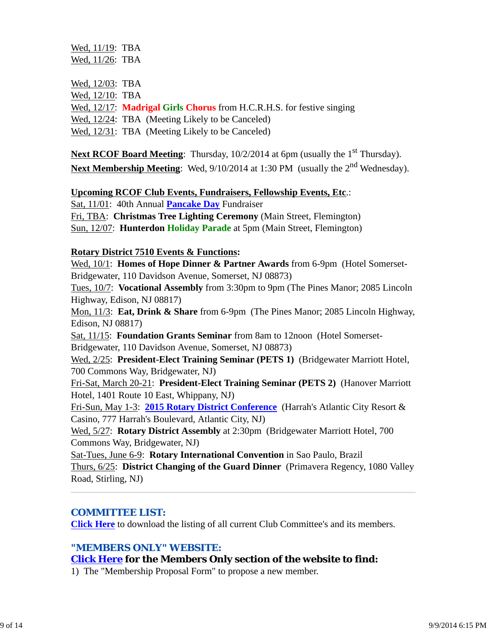Wed, 11/19: TBA Wed, 11/26: TBA

Wed, 12/03: TBA

Wed, 12/10: TBA

Wed, 12/17: **Madrigal Girls Chorus** from H.C.R.H.S. for festive singing

Wed,  $12/24$ : TBA (Meeting Likely to be Canceled)

Wed, 12/31: TBA (Meeting Likely to be Canceled)

Next RCOF Board Meeting: Thursday, 10/2/2014 at 6pm (usually the 1<sup>st</sup> Thursday). Next Membership Meeting: Wed, 9/10/2014 at 1:30 PM (usually the 2<sup>nd</sup> Wednesday).

#### **Upcoming RCOF Club Events, Fundraisers, Fellowship Events, Etc**.:

Sat, 11/01: 40th Annual **Pancake Day** Fundraiser

Fri, TBA: **Christmas Tree Lighting Ceremony** (Main Street, Flemington) Sun, 12/07: **Hunterdon Holiday Parade** at 5pm (Main Street, Flemington)

#### **Rotary District 7510 Events & Functions:**

Wed, 10/1: **Homes of Hope Dinner & Partner Awards** from 6-9pm (Hotel Somerset-Bridgewater, 110 Davidson Avenue, Somerset, NJ 08873)

Tues, 10/7: **Vocational Assembly** from 3:30pm to 9pm (The Pines Manor; 2085 Lincoln Highway, Edison, NJ 08817)

Mon, 11/3: **Eat, Drink & Share** from 6-9pm (The Pines Manor; 2085 Lincoln Highway, Edison, NJ 08817)

Sat, 11/15: **Foundation Grants Seminar** from 8am to 12noon (Hotel Somerset-Bridgewater, 110 Davidson Avenue, Somerset, NJ 08873)

Wed, 2/25: **President-Elect Training Seminar (PETS 1)** (Bridgewater Marriott Hotel, 700 Commons Way, Bridgewater, NJ)

Fri-Sat, March 20-21: **President-Elect Training Seminar (PETS 2)** (Hanover Marriott Hotel, 1401 Route 10 East, Whippany, NJ)

Fri-Sun, May 1-3: **2015 Rotary District Conference** (Harrah's Atlantic City Resort & Casino, 777 Harrah's Boulevard, Atlantic City, NJ)

Wed, 5/27: **Rotary District Assembly** at 2:30pm (Bridgewater Marriott Hotel, 700 Commons Way, Bridgewater, NJ)

Sat-Tues, June 6-9: **Rotary International Convention** in Sao Paulo, Brazil Thurs, 6/25: **District Changing of the Guard Dinner** (Primavera Regency, 1080 Valley Road, Stirling, NJ)

## *COMMITTEE LIST:*

**Click Here** to download the listing of all current Club Committee's and its members.

## *"MEMBERS ONLY" WEBSITE:*

## **Click Here for the Members Only section of the website to find:**

1) The "Membership Proposal Form" to propose a new member.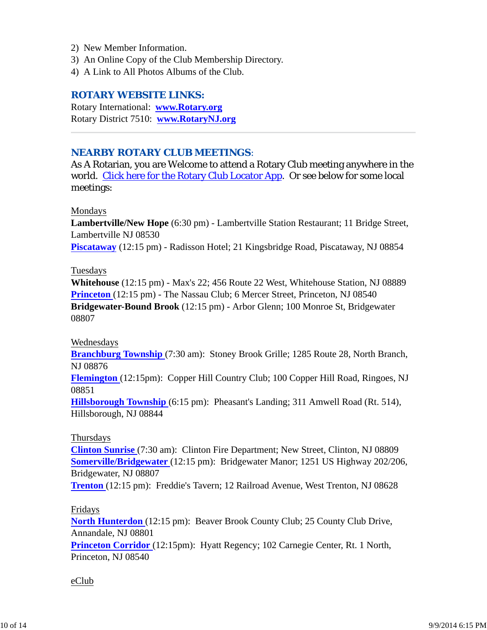- 2) New Member Information.
- 3) An Online Copy of the Club Membership Directory.
- 4) A Link to All Photos Albums of the Club.

#### *ROTARY WEBSITE LINKS:*

Rotary International: **www.Rotary.org** Rotary District 7510: **www.RotaryNJ.org**

#### *NEARBY ROTARY CLUB MEETINGS:*

As A Rotarian, you are Welcome to attend a Rotary Club meeting anywhere in the world. Click here for the Rotary Club Locator App. Or see below for some local meetings:

#### Mondays

**Lambertville/New Hope** (6:30 pm) - Lambertville Station Restaurant; 11 Bridge Street, Lambertville NJ 08530

**Piscataway** (12:15 pm) - Radisson Hotel; 21 Kingsbridge Road, Piscataway, NJ 08854

#### Tuesdays

**Whitehouse** (12:15 pm) - Max's 22; 456 Route 22 West, Whitehouse Station, NJ 08889 **Princeton** (12:15 pm) - The Nassau Club; 6 Mercer Street, Princeton, NJ 08540 **Bridgewater-Bound Brook** (12:15 pm) - Arbor Glenn; 100 Monroe St, Bridgewater 08807

#### Wednesdays

**Branchburg Township** (7:30 am): Stoney Brook Grille; 1285 Route 28, North Branch, NJ 08876

**Flemington** (12:15pm): Copper Hill Country Club; 100 Copper Hill Road, Ringoes, NJ 08851

**Hillsborough Township** (6:15 pm): Pheasant's Landing; 311 Amwell Road (Rt. 514), Hillsborough, NJ 08844

#### Thursdays

**Clinton Sunrise** (7:30 am): Clinton Fire Department; New Street, Clinton, NJ 08809 **Somerville/Bridgewater** (12:15 pm): Bridgewater Manor; 1251 US Highway 202/206, Bridgewater, NJ 08807

**Trenton** (12:15 pm): Freddie's Tavern; 12 Railroad Avenue, West Trenton, NJ 08628

#### Fridays

**North Hunterdon** (12:15 pm): Beaver Brook County Club; 25 County Club Drive, Annandale, NJ 08801 **Princeton Corridor** (12:15pm): Hyatt Regency; 102 Carnegie Center, Rt. 1 North,

Princeton, NJ 08540

#### eClub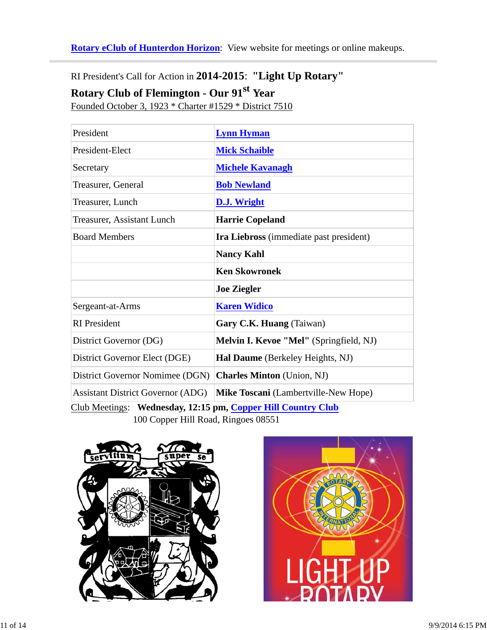**Rotary eClub of Hunterdon Horizon**: View website for meetings or online makeups.

RI President's Call for Action in **2014-2015**: **"Light Up Rotary"**

# **Rotary Club of Flemington - Our 91st Year**

Founded October 3, 1923 \* Charter #1529 \* District 7510

| President                                                    | <b>Lynn Hyman</b>                       |  |  |  |
|--------------------------------------------------------------|-----------------------------------------|--|--|--|
| President-Elect                                              | <b>Mick Schaible</b>                    |  |  |  |
| Secretary                                                    | <b>Michele Kavanagh</b>                 |  |  |  |
| Treasurer, General                                           | <b>Bob Newland</b>                      |  |  |  |
| Treasurer, Lunch                                             | <b>D.J. Wright</b>                      |  |  |  |
| <b>Treasurer, Assistant Lunch</b>                            | <b>Harrie Copeland</b>                  |  |  |  |
| <b>Board Members</b>                                         | Ira Liebross (immediate past president) |  |  |  |
|                                                              | <b>Nancy Kahl</b>                       |  |  |  |
|                                                              | <b>Ken Skowronek</b>                    |  |  |  |
|                                                              | <b>Joe Ziegler</b>                      |  |  |  |
| Sergeant-at-Arms                                             | <b>Karen Widico</b>                     |  |  |  |
| <b>RI</b> President                                          | Gary C.K. Huang (Taiwan)                |  |  |  |
| District Governor (DG)                                       | Melvin I. Kevoe "Mel" (Springfield, NJ) |  |  |  |
| District Governor Elect (DGE)                                | Hal Daume (Berkeley Heights, NJ)        |  |  |  |
| District Governor Nomimee (DGN)                              | <b>Charles Minton</b> (Union, NJ)       |  |  |  |
| <b>Assistant District Governor (ADG)</b>                     | Mike Toscani (Lambertville-New Hope)    |  |  |  |
| Club Meetings: Wednesday, 12:15 pm, Copper Hill Country Club |                                         |  |  |  |

100 Copper Hill Road, Ringoes 08551



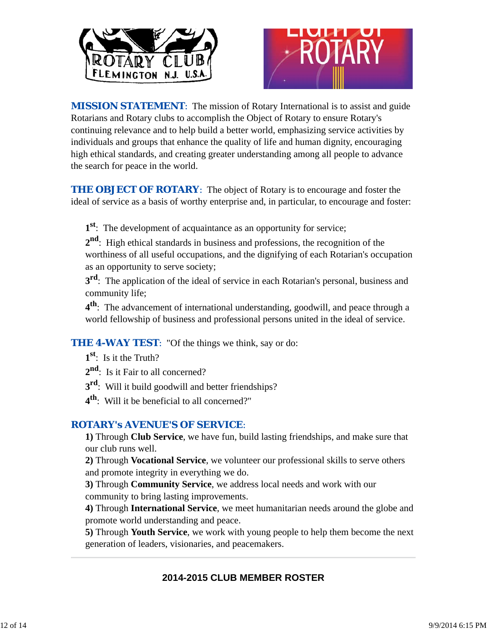



*MISSION STATEMENT*: The mission of Rotary International is to assist and guide Rotarians and Rotary clubs to accomplish the Object of Rotary to ensure Rotary's continuing relevance and to help build a better world, emphasizing service activities by individuals and groups that enhance the quality of life and human dignity, encouraging high ethical standards, and creating greater understanding among all people to advance the search for peace in the world.

**THE OBJECT OF ROTARY:** The object of Rotary is to encourage and foster the ideal of service as a basis of worthy enterprise and, in particular, to encourage and foster:

**1st**: The development of acquaintance as an opportunity for service;

**2nd**: High ethical standards in business and professions, the recognition of the worthiness of all useful occupations, and the dignifying of each Rotarian's occupation as an opportunity to serve society;

**3rd**: The application of the ideal of service in each Rotarian's personal, business and community life;

**4th**: The advancement of international understanding, goodwill, and peace through a world fellowship of business and professional persons united in the ideal of service.

**THE 4-WAY TEST:** "Of the things we think, say or do:

- **1st**: Is it the Truth?
- 2<sup>nd</sup>: Is it Fair to all concerned?
- **3rd**: Will it build goodwill and better friendships?
- **4th**: Will it be beneficial to all concerned?"

## *ROTARY's AVENUE'S OF SERVICE*:

**1)** Through **Club Service**, we have fun, build lasting friendships, and make sure that our club runs well.

**2)** Through **Vocational Service**, we volunteer our professional skills to serve others and promote integrity in everything we do.

**3)** Through **Community Service**, we address local needs and work with our community to bring lasting improvements.

**4)** Through **International Service**, we meet humanitarian needs around the globe and promote world understanding and peace.

**5)** Through **Youth Service**, we work with young people to help them become the next generation of leaders, visionaries, and peacemakers.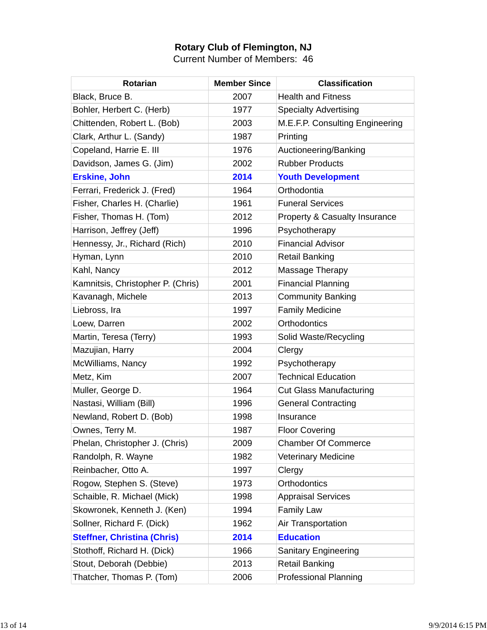## **Rotary Club of Flemington, NJ**

Current Number of Members: 46

| <b>Rotarian</b>                    | <b>Member Since</b> | <b>Classification</b>           |
|------------------------------------|---------------------|---------------------------------|
| Black, Bruce B.                    | 2007                | <b>Health and Fitness</b>       |
| Bohler, Herbert C. (Herb)          | 1977                | <b>Specialty Advertising</b>    |
| Chittenden, Robert L. (Bob)        | 2003                | M.E.F.P. Consulting Engineering |
| Clark, Arthur L. (Sandy)           | 1987                | Printing                        |
| Copeland, Harrie E. III            | 1976                | Auctioneering/Banking           |
| Davidson, James G. (Jim)           | 2002                | <b>Rubber Products</b>          |
| <b>Erskine, John</b>               | 2014                | <b>Youth Development</b>        |
| Ferrari, Frederick J. (Fred)       | 1964                | Orthodontia                     |
| Fisher, Charles H. (Charlie)       | 1961                | <b>Funeral Services</b>         |
| Fisher, Thomas H. (Tom)            | 2012                | Property & Casualty Insurance   |
| Harrison, Jeffrey (Jeff)           | 1996                | Psychotherapy                   |
| Hennessy, Jr., Richard (Rich)      | 2010                | <b>Financial Advisor</b>        |
| Hyman, Lynn                        | 2010                | <b>Retail Banking</b>           |
| Kahl, Nancy                        | 2012                | Massage Therapy                 |
| Kamnitsis, Christopher P. (Chris)  | 2001                | <b>Financial Planning</b>       |
| Kavanagh, Michele                  | 2013                | <b>Community Banking</b>        |
| Liebross, Ira                      | 1997                | <b>Family Medicine</b>          |
| Loew, Darren                       | 2002                | <b>Orthodontics</b>             |
| Martin, Teresa (Terry)             | 1993                | Solid Waste/Recycling           |
| Mazujian, Harry                    | 2004                | Clergy                          |
| McWilliams, Nancy                  | 1992                | Psychotherapy                   |
| Metz, Kim                          | 2007                | <b>Technical Education</b>      |
| Muller, George D.                  | 1964                | <b>Cut Glass Manufacturing</b>  |
| Nastasi, William (Bill)            | 1996                | <b>General Contracting</b>      |
| Newland, Robert D. (Bob)           | 1998                | Insurance                       |
| Ownes, Terry M.                    | 1987                | <b>Floor Covering</b>           |
| Phelan, Christopher J. (Chris)     | 2009                | <b>Chamber Of Commerce</b>      |
| Randolph, R. Wayne                 | 1982                | <b>Veterinary Medicine</b>      |
| Reinbacher, Otto A.                | 1997                | Clergy                          |
| Rogow, Stephen S. (Steve)          | 1973                | <b>Orthodontics</b>             |
| Schaible, R. Michael (Mick)        | 1998                | <b>Appraisal Services</b>       |
| Skowronek, Kenneth J. (Ken)        | 1994                | <b>Family Law</b>               |
| Sollner, Richard F. (Dick)         | 1962                | Air Transportation              |
| <b>Steffner, Christina (Chris)</b> | 2014                | <b>Education</b>                |
| Stothoff, Richard H. (Dick)        | 1966                | <b>Sanitary Engineering</b>     |
| Stout, Deborah (Debbie)            | 2013                | <b>Retail Banking</b>           |
| Thatcher, Thomas P. (Tom)          | 2006                | <b>Professional Planning</b>    |